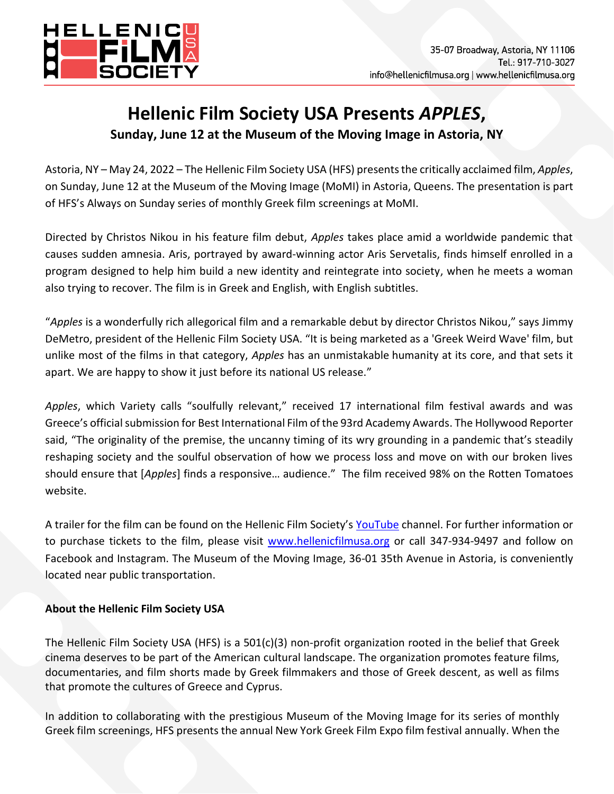

## **Hellenic Film Society USA Presents** *APPLES***, Sunday, June 12 at the Museum of the Moving Image in Astoria, NY**

Astoria, NY – May 24, 2022 – The Hellenic Film Society USA (HFS) presents the critically acclaimed film, *Apples*, [on Sunday, June 12 at the Museum of the Moving Image \(MoMI\) in Astoria, Queens. The presentation is part](https://www.youtube.com/watch?v=0DAEyCsZCnQ&t=2s)  of HFS's Always on Sunday series of monthly Greek film screenings at MoMI.

Directed by Christos Nikou in his feature film debut, *Apples* takes place amid a worldwide pandemic that causes sudden amnesia. Aris, portrayed by award-winning actor Aris Servetalis, finds himself enrolled in a program designed to help him build a new identity and reintegrate into society, when he meets a woman also trying to recover. The film is in Greek and English, with English subtitles.

"*Apples* is a wonderfully rich allegorical film and a remarkable debut by director Christos Nikou," says Jimmy DeMetro, president of the Hellenic Film Society USA. "It is being marketed as a 'Greek Weird Wave' film, but unlike most of the films in that category, *Apples* has an unmistakable humanity at its core, and that sets it apart. We are happy to show it just before its national US release."

*Apples*, which Variety calls "soulfully relevant," received 17 international film festival awards and was Greece's official submission for Best International Film of the 93rd Academy Awards. The Hollywood Reporter said, "The originality of the premise, the uncanny timing of its wry grounding in a pandemic that's steadily reshaping society and the soulful observation of how we process loss and move on with our broken lives should ensure that [*Apples*] finds a responsive… audience." The film received 98% on the Rotten Tomatoes website.

A trailer for the film can be found on the Hellenic Film Society's [YouTube](https://www.youtube.com/watch?v=jXeR35UnQ0s) channel. For further information or to purchase tickets to the film, please visit [www.hellenicfilmusa.org](http://www.hellenicfilmusa.org/) or call 347-934-9497 and follow on Facebook and Instagram. The Museum of the Moving Image, 36-01 35th Avenue in Astoria, is conveniently located near public transportation.

## **About the Hellenic Film Society USA**

The Hellenic Film Society USA (HFS) is a 501(c)(3) non-profit organization rooted in the belief that Greek cinema deserves to be part of the American cultural landscape. The organization promotes feature films, documentaries, and film shorts made by Greek filmmakers and those of Greek descent, as well as films that promote the cultures of Greece and Cyprus.

In addition to collaborating with the prestigious Museum of the Moving Image for its series of monthly Greek film screenings, HFS presents the annual New York Greek Film Expo film festival annually. When the